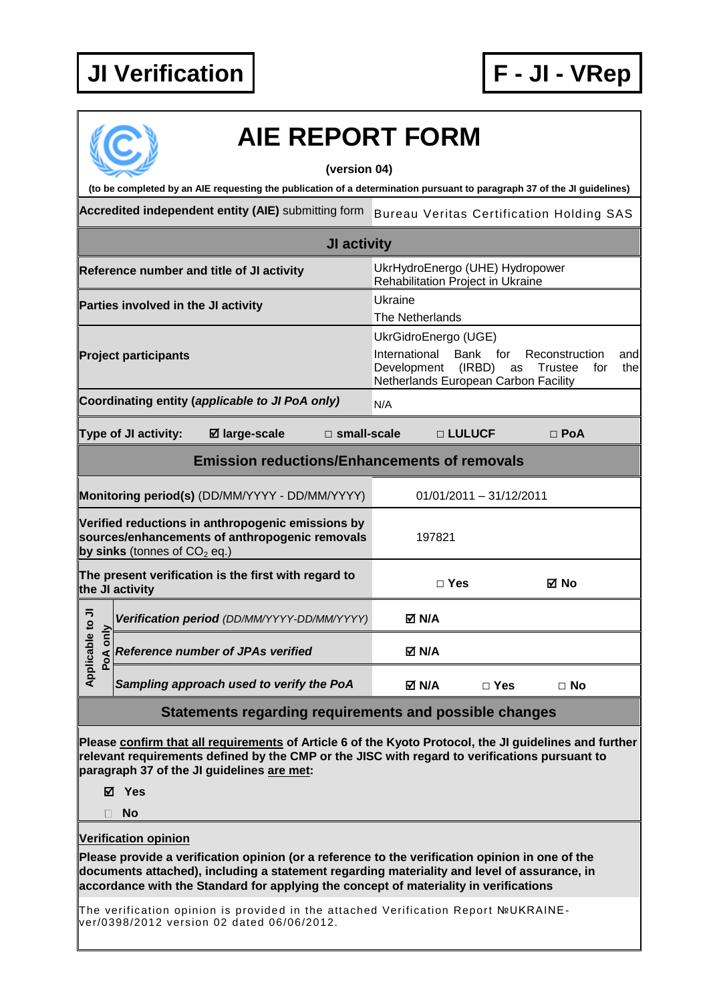

|                 | <b>AIE REPORT FORM</b><br>(version 04)                                                                                                                                                                                                                                                  |                                                                                              |                                    |                                                 |
|-----------------|-----------------------------------------------------------------------------------------------------------------------------------------------------------------------------------------------------------------------------------------------------------------------------------------|----------------------------------------------------------------------------------------------|------------------------------------|-------------------------------------------------|
|                 | (to be completed by an AIE requesting the publication of a determination pursuant to paragraph 37 of the JI guidelines)                                                                                                                                                                 |                                                                                              |                                    |                                                 |
|                 | Accredited independent entity (AIE) submitting form                                                                                                                                                                                                                                     |                                                                                              |                                    | <b>Bureau Veritas Certification Holding SAS</b> |
|                 | <b>JI activity</b>                                                                                                                                                                                                                                                                      |                                                                                              |                                    |                                                 |
|                 | Reference number and title of JI activity                                                                                                                                                                                                                                               | UkrHydroEnergo (UHE) Hydropower<br>Rehabilitation Project in Ukraine                         |                                    |                                                 |
|                 | Parties involved in the JI activity                                                                                                                                                                                                                                                     | Ukraine<br>The Netherlands                                                                   |                                    |                                                 |
|                 | <b>Project participants</b>                                                                                                                                                                                                                                                             | UkrGidroEnergo (UGE)<br>International<br>Development<br>Netherlands European Carbon Facility | <b>Bank</b><br>for<br>(IRBD)<br>as | Reconstruction<br>and<br>Trustee<br>the<br>for  |
|                 | Coordinating entity (applicable to JI PoA only)                                                                                                                                                                                                                                         | N/A                                                                                          |                                    |                                                 |
|                 | Type of JI activity:<br>⊠ large-scale<br>$\square$ small-scale                                                                                                                                                                                                                          |                                                                                              | □ LULUCF                           | $\Box$ PoA                                      |
|                 | <b>Emission reductions/Enhancements of removals</b>                                                                                                                                                                                                                                     |                                                                                              |                                    |                                                 |
|                 | Monitoring period(s) (DD/MM/YYYY - DD/MM/YYYY)                                                                                                                                                                                                                                          |                                                                                              | $01/01/2011 - 31/12/2011$          |                                                 |
|                 | Verified reductions in anthropogenic emissions by<br>sources/enhancements of anthropogenic removals<br>by sinks (tonnes of $CO2$ eq.)                                                                                                                                                   | 197821                                                                                       |                                    |                                                 |
|                 | The present verification is the first with regard to<br>the JI activity                                                                                                                                                                                                                 | $\Box$ Yes                                                                                   |                                    | ⊠ No                                            |
| le to JI<br>ήu  | Verification period (DD/MM/YYYY-DD/MM/YYYY)                                                                                                                                                                                                                                             | M N/A                                                                                        |                                    |                                                 |
| Applicab<br>PoA | <b>Reference number of JPAs verified</b>                                                                                                                                                                                                                                                | M N/A                                                                                        |                                    |                                                 |
|                 | Sampling approach used to verify the PoA                                                                                                                                                                                                                                                | M N/A                                                                                        | $\Box$ Yes                         | $\Box$ No                                       |
|                 | Statements regarding requirements and possible changes                                                                                                                                                                                                                                  |                                                                                              |                                    |                                                 |
|                 | Please confirm that all requirements of Article 6 of the Kyoto Protocol, the JI guidelines and further<br>relevant requirements defined by the CMP or the JISC with regard to verifications pursuant to<br>paragraph 37 of the JI guidelines are met:<br>⊠ Yes<br><b>No</b>             |                                                                                              |                                    |                                                 |
|                 | <b>Verification opinion</b>                                                                                                                                                                                                                                                             |                                                                                              |                                    |                                                 |
|                 | Please provide a verification opinion (or a reference to the verification opinion in one of the<br>documents attached), including a statement regarding materiality and level of assurance, in<br>accordance with the Standard for applying the concept of materiality in verifications |                                                                                              |                                    |                                                 |
|                 | The verification opinion is provided in the attached Verification Report №UKRAINE-<br>ver/0398/2012 version 02 dated 06/06/2012.                                                                                                                                                        |                                                                                              |                                    |                                                 |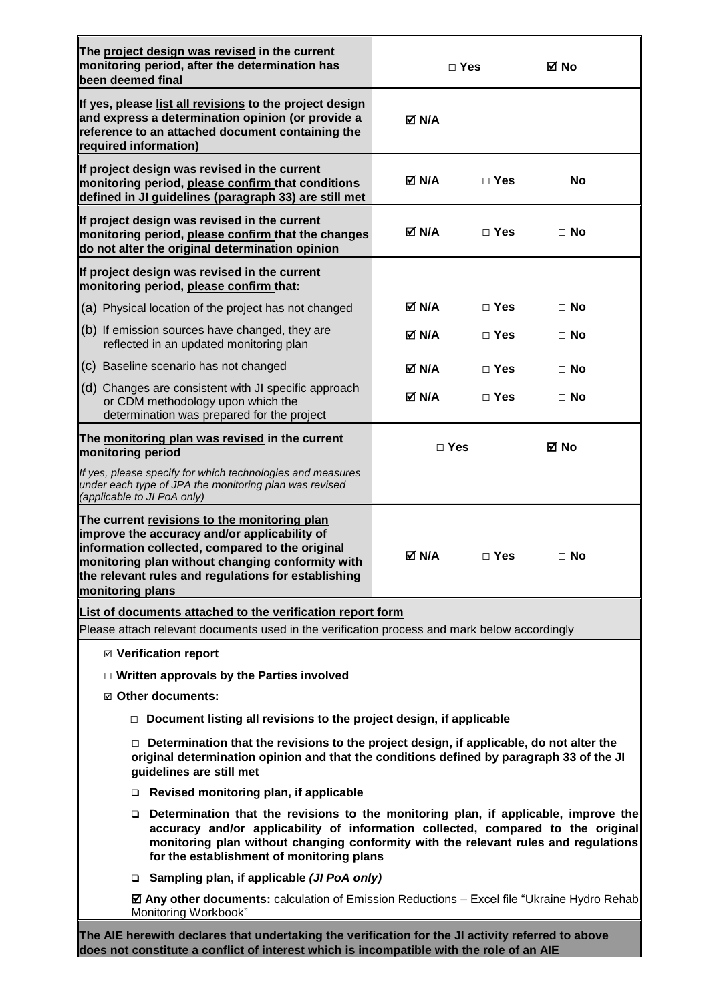| The project design was revised in the current<br>monitoring period, after the determination has<br>been deemed final                                                                                                                                                                                                  |              | $\Box$ Yes   | ⊠ No      |
|-----------------------------------------------------------------------------------------------------------------------------------------------------------------------------------------------------------------------------------------------------------------------------------------------------------------------|--------------|--------------|-----------|
| If yes, please list all revisions to the project design<br>and express a determination opinion (or provide a<br>reference to an attached document containing the<br>required information)                                                                                                                             | <b>⊠ N/A</b> |              |           |
| If project design was revised in the current<br>monitoring period, please confirm that conditions<br>defined in JI guidelines (paragraph 33) are still met                                                                                                                                                            | M N/A        | $\Box$ Yes   | $\Box$ No |
| If project design was revised in the current<br>monitoring period, please confirm that the changes<br>do not alter the original determination opinion                                                                                                                                                                 | <b>⊠ N/A</b> | $\Box$ Yes   | $\Box$ No |
| If project design was revised in the current<br>monitoring period, please confirm that:                                                                                                                                                                                                                               |              |              |           |
| (a) Physical location of the project has not changed                                                                                                                                                                                                                                                                  | <b>⊠ N/A</b> | $\sqcap$ Yes | $\Box$ No |
| (b) If emission sources have changed, they are<br>reflected in an updated monitoring plan                                                                                                                                                                                                                             | M N/A        | $\Box$ Yes   | $\Box$ No |
| (c) Baseline scenario has not changed                                                                                                                                                                                                                                                                                 | M N/A        | $\Box$ Yes   | $\Box$ No |
| (d) Changes are consistent with JI specific approach<br>or CDM methodology upon which the<br>determination was prepared for the project                                                                                                                                                                               | M N/A        | $\Box$ Yes   | $\Box$ No |
| The monitoring plan was revised in the current<br>monitoring period                                                                                                                                                                                                                                                   | $\Box$ Yes   |              | ⊠ No      |
| If yes, please specify for which technologies and measures<br>under each type of JPA the monitoring plan was revised<br>(applicable to JI PoA only)                                                                                                                                                                   |              |              |           |
| The current revisions to the monitoring plan<br>improve the accuracy and/or applicability of<br>information collected, compared to the original<br>monitoring plan without changing conformity with<br>the relevant rules and regulations for establishing<br>monitoring plans                                        | M N/A        | $\Box$ Yes   | $\Box$ No |
| List of documents attached to the verification report form                                                                                                                                                                                                                                                            |              |              |           |
| Please attach relevant documents used in the verification process and mark below accordingly                                                                                                                                                                                                                          |              |              |           |
| ⊠ Verification report                                                                                                                                                                                                                                                                                                 |              |              |           |
| $\Box$ Written approvals by the Parties involved<br>☑ Other documents:                                                                                                                                                                                                                                                |              |              |           |
| $\Box$ Document listing all revisions to the project design, if applicable                                                                                                                                                                                                                                            |              |              |           |
| $\Box$ Determination that the revisions to the project design, if applicable, do not alter the<br>original determination opinion and that the conditions defined by paragraph 33 of the JI<br>guidelines are still met                                                                                                |              |              |           |
| Revised monitoring plan, if applicable                                                                                                                                                                                                                                                                                |              |              |           |
| Determination that the revisions to the monitoring plan, if applicable, improve the<br>$\Box$<br>accuracy and/or applicability of information collected, compared to the original<br>monitoring plan without changing conformity with the relevant rules and regulations<br>for the establishment of monitoring plans |              |              |           |
| □ Sampling plan, if applicable (JI PoA only)                                                                                                                                                                                                                                                                          |              |              |           |
| ☑ Any other documents: calculation of Emission Reductions - Excel file "Ukraine Hydro Rehab<br>Monitoring Workbook"                                                                                                                                                                                                   |              |              |           |
| The AIE herewith declares that undertaking the verification for the JI activity referred to above<br>does not constitute a conflict of interest which is incompatible with the role of an AIE                                                                                                                         |              |              |           |

 $\blacksquare$